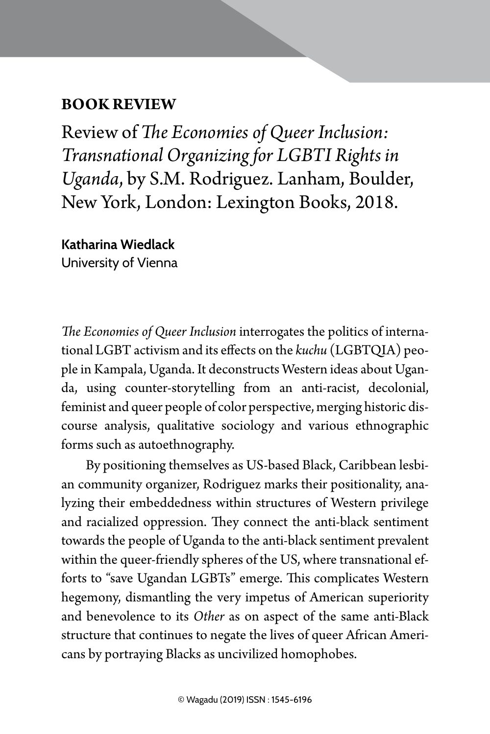## **BOOK REVIEW**

Review of *The Economies of Queer Inclusion: Transnational Organizing for LGBTI Rights in Uganda*, by S.M. Rodriguez. Lanham, Boulder, New York, London: Lexington Books, 2018.

BOOK REVIEW | 155

**Katharina Wiedlack** University of Vienna

*The Economies of Queer Inclusion* interrogates the politics of international LGBT activism and its effects on the *kuchu* (LGBTQIA) people in Kampala, Uganda. It deconstructs Western ideas about Uganda, using counter-storytelling from an anti-racist, decolonial, feminist and queer people of color perspective, merging historic discourse analysis, qualitative sociology and various ethnographic forms such as autoethnography.

By positioning themselves as US-based Black, Caribbean lesbian community organizer, Rodriguez marks their positionality, analyzing their embeddedness within structures of Western privilege and racialized oppression. They connect the anti-black sentiment towards the people of Uganda to the anti-black sentiment prevalent within the queer-friendly spheres of the US, where transnational efforts to "save Ugandan LGBTs" emerge. This complicates Western hegemony, dismantling the very impetus of American superiority and benevolence to its *Other* as on aspect of the same anti-Black structure that continues to negate the lives of queer African Americans by portraying Blacks as uncivilized homophobes.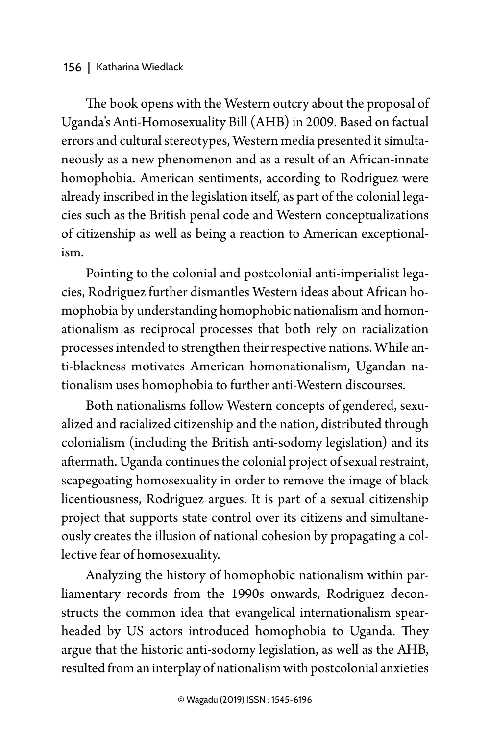## 156 | Katharina Wiedlack

The book opens with the Western outcry about the proposal of Uganda's Anti-Homosexuality Bill (AHB) in 2009. Based on factual errors and cultural stereotypes, Western media presented it simultaneously as a new phenomenon and as a result of an African-innate homophobia. American sentiments, according to Rodriguez were already inscribed in the legislation itself, as part of the colonial legacies such as the British penal code and Western conceptualizations of citizenship as well as being a reaction to American exceptionalism.

Pointing to the colonial and postcolonial anti-imperialist legacies, Rodriguez further dismantles Western ideas about African homophobia by understanding homophobic nationalism and homonationalism as reciprocal processes that both rely on racialization processes intended to strengthen their respective nations. While anti-blackness motivates American homonationalism, Ugandan nationalism uses homophobia to further anti-Western discourses.

Both nationalisms follow Western concepts of gendered, sexualized and racialized citizenship and the nation, distributed through colonialism (including the British anti-sodomy legislation) and its aftermath. Uganda continues the colonial project of sexual restraint, scapegoating homosexuality in order to remove the image of black licentiousness, Rodriguez argues. It is part of a sexual citizenship project that supports state control over its citizens and simultaneously creates the illusion of national cohesion by propagating a collective fear of homosexuality.

Analyzing the history of homophobic nationalism within parliamentary records from the 1990s onwards, Rodriguez deconstructs the common idea that evangelical internationalism spearheaded by US actors introduced homophobia to Uganda. They argue that the historic anti-sodomy legislation, as well as the AHB, resulted from an interplay of nationalism with postcolonial anxieties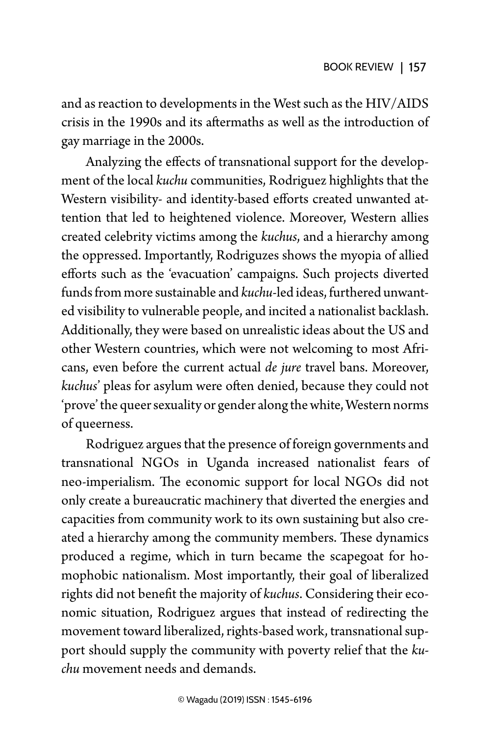and as reaction to developments in the West such as the HIV/AIDS crisis in the 1990s and its aftermaths as well as the introduction of gay marriage in the 2000s.

Analyzing the effects of transnational support for the development of the local *kuchu* communities, Rodriguez highlights that the Western visibility- and identity-based efforts created unwanted attention that led to heightened violence. Moreover, Western allies created celebrity victims among the *kuchus*, and a hierarchy among the oppressed. Importantly, Rodriguzes shows the myopia of allied efforts such as the 'evacuation' campaigns. Such projects diverted funds from more sustainable and *kuchu*-led ideas, furthered unwanted visibility to vulnerable people, and incited a nationalist backlash. Additionally, they were based on unrealistic ideas about the US and other Western countries, which were not welcoming to most Africans, even before the current actual *de jure* travel bans. Moreover, *kuchus*' pleas for asylum were often denied, because they could not 'prove' the queer sexuality or gender along the white, Western norms of queerness.

Rodriguez argues that the presence of foreign governments and transnational NGOs in Uganda increased nationalist fears of neo-imperialism. The economic support for local NGOs did not only create a bureaucratic machinery that diverted the energies and capacities from community work to its own sustaining but also created a hierarchy among the community members. These dynamics produced a regime, which in turn became the scapegoat for homophobic nationalism. Most importantly, their goal of liberalized rights did not benefit the majority of *kuchus*. Considering their economic situation, Rodriguez argues that instead of redirecting the movement toward liberalized, rights-based work, transnational support should supply the community with poverty relief that the *kuchu* movement needs and demands.